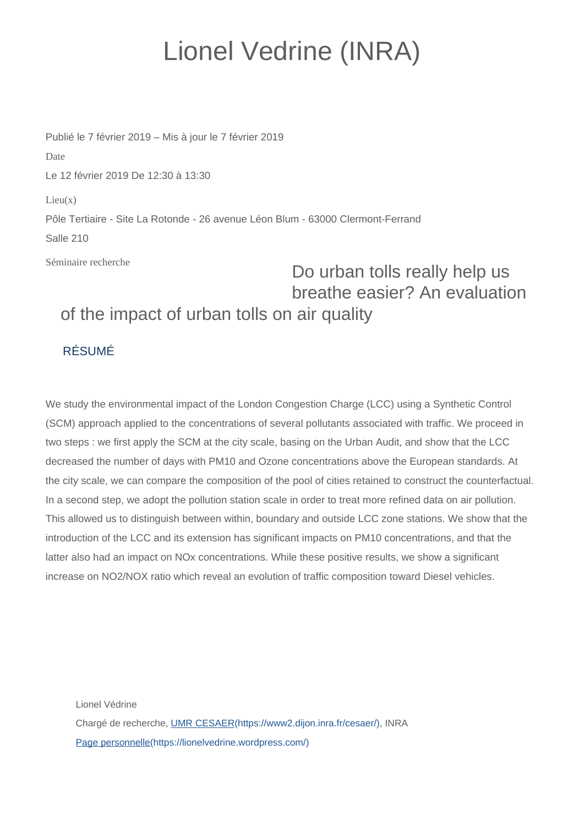## Lionel Vedrine (INRA)

Publié le 7 février 2019 – Mis à jour le 7 février 2019 Date Le 12 février 2019 De 12:30 à 13:30  $Lieu(x)$ Pôle Tertiaire - Site La Rotonde - 26 avenue Léon Blum - 63000 Clermont-Ferrand Salle 210

Séminaire recherche

## Do urban tolls really help us breathe easier? An evaluation of the impact of urban tolls on air quality

## RÉSUMÉ

We study the environmental impact of the London Congestion Charge (LCC) using a Synthetic Control (SCM) approach applied to the concentrations of several pollutants associated with traffic. We proceed in two steps : we first apply the SCM at the city scale, basing on the Urban Audit, and show that the LCC decreased the number of days with PM10 and Ozone concentrations above the European standards. At the city scale, we can compare the composition of the pool of cities retained to construct the counterfactual. In a second step, we adopt the pollution station scale in order to treat more refined data on air pollution. This allowed us to distinguish between within, boundary and outside LCC zone stations. We show that the introduction of the LCC and its extension has significant impacts on PM10 concentrations, and that the latter also had an impact on NOx concentrations. While these positive results, we show a significant increase on NO2/NOX ratio which reveal an evolution of traffic composition toward Diesel vehicles.

Lionel Védrine Chargé de recherche, [UMR CESAER\(https://www2.dijon.inra.fr/cesaer/\)](https://www2.dijon.inra.fr/cesaer/), INRA [Page personnelle\(https://lionelvedrine.wordpress.com/\)](https://lionelvedrine.wordpress.com/)